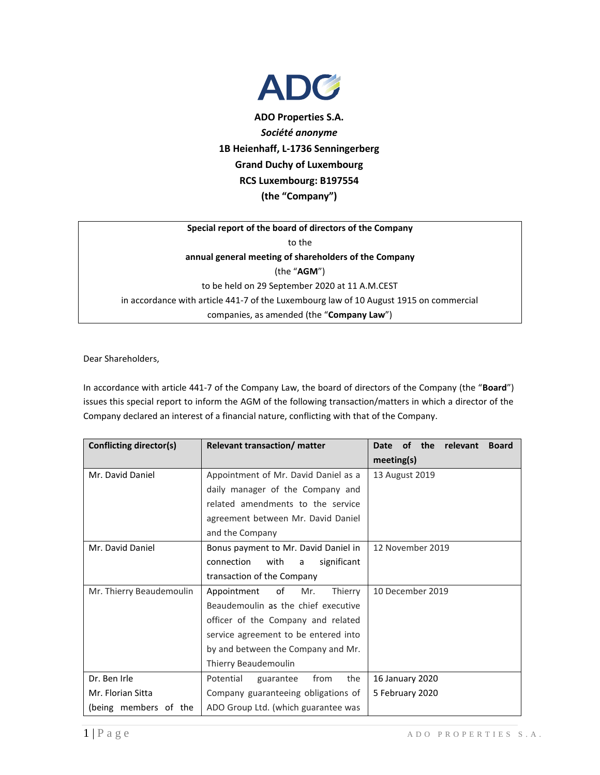

**ADO Properties S.A.** *Société anonyme* **1B Heienhaff, L-1736 Senningerberg Grand Duchy of Luxembourg RCS Luxembourg: B197554 (the "Company")**

## **Special report of the board of directors of the Company** to the **annual general meeting of shareholders of the Company** (the "**AGM**") to be held on 29 September 2020 at 11 A.M.CEST in accordance with article 441-7 of the Luxembourg law of 10 August 1915 on commercial companies, as amended (the "**Company Law**")

Dear Shareholders,

In accordance with article 441-7 of the Company Law, the board of directors of the Company (the "**Board**") issues this special report to inform the AGM of the following transaction/matters in which a director of the Company declared an interest of a financial nature, conflicting with that of the Company.

| Conflicting director(s)  | <b>Relevant transaction/ matter</b>    | the<br><b>of</b><br>relevant<br>Date<br><b>Board</b> |
|--------------------------|----------------------------------------|------------------------------------------------------|
|                          |                                        | meeting(s)                                           |
| Mr. David Daniel         | Appointment of Mr. David Daniel as a   | 13 August 2019                                       |
|                          | daily manager of the Company and       |                                                      |
|                          | related amendments to the service      |                                                      |
|                          | agreement between Mr. David Daniel     |                                                      |
|                          | and the Company                        |                                                      |
| Mr. David Daniel         | Bonus payment to Mr. David Daniel in   | 12 November 2019                                     |
|                          | connection<br>with<br>significant<br>a |                                                      |
|                          | transaction of the Company             |                                                      |
| Mr. Thierry Beaudemoulin | Appointment<br>of<br>Mr.<br>Thierry    | 10 December 2019                                     |
|                          | Beaudemoulin as the chief executive    |                                                      |
|                          | officer of the Company and related     |                                                      |
|                          | service agreement to be entered into   |                                                      |
|                          | by and between the Company and Mr.     |                                                      |
|                          | Thierry Beaudemoulin                   |                                                      |
| Dr. Ben Irle             | the<br>Potential<br>from<br>guarantee  | 16 January 2020                                      |
| Mr. Florian Sitta        | Company guaranteeing obligations of    | 5 February 2020                                      |
| (being members of the    | ADO Group Ltd. (which guarantee was    |                                                      |